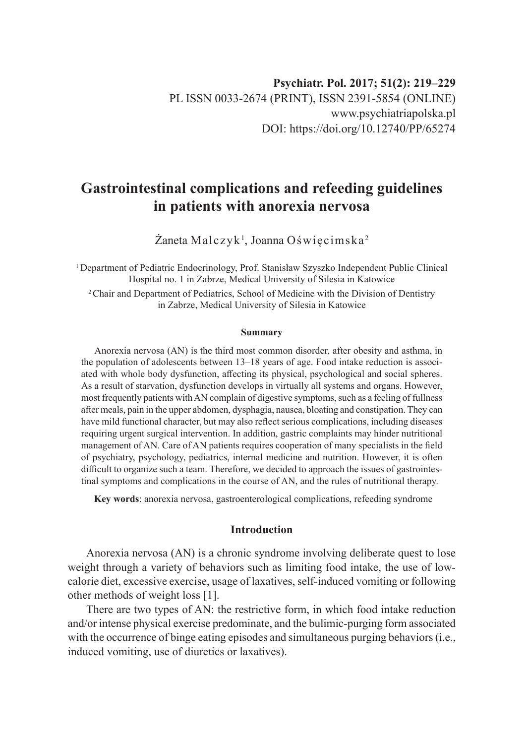# **Gastrointestinal complications and refeeding guidelines in patients with anorexia nervosa**

 $\rm Z$ aneta Malczyk $^{\rm l}$ , Joanna Oświęcimska $^{\rm 2}$ 

<sup>1</sup>Department of Pediatric Endocrinology, Prof. Stanisław Szyszko Independent Public Clinical Hospital no. 1 in Zabrze, Medical University of Silesia in Katowice <sup>2</sup> Chair and Department of Pediatrics, School of Medicine with the Division of Dentistry in Zabrze, Medical University of Silesia in Katowice

#### **Summary**

Anorexia nervosa (AN) is the third most common disorder, after obesity and asthma, in the population of adolescents between 13–18 years of age. Food intake reduction is associated with whole body dysfunction, affecting its physical, psychological and social spheres. As a result of starvation, dysfunction develops in virtually all systems and organs. However, most frequently patients with AN complain of digestive symptoms, such as a feeling of fullness after meals, pain in the upper abdomen, dysphagia, nausea, bloating and constipation. They can have mild functional character, but may also reflect serious complications, including diseases requiring urgent surgical intervention. In addition, gastric complaints may hinder nutritional management of AN. Care of AN patients requires cooperation of many specialists in the field of psychiatry, psychology, pediatrics, internal medicine and nutrition. However, it is often difficult to organize such a team. Therefore, we decided to approach the issues of gastrointestinal symptoms and complications in the course of AN, and the rules of nutritional therapy.

**Key words**: anorexia nervosa, gastroenterological complications, refeeding syndrome

## **Introduction**

Anorexia nervosa (AN) is a chronic syndrome involving deliberate quest to lose weight through a variety of behaviors such as limiting food intake, the use of lowcalorie diet, excessive exercise, usage of laxatives, self-induced vomiting or following other methods of weight loss [1].

There are two types of AN: the restrictive form, in which food intake reduction and/or intense physical exercise predominate, and the bulimic-purging form associated with the occurrence of binge eating episodes and simultaneous purging behaviors (i.e., induced vomiting, use of diuretics or laxatives).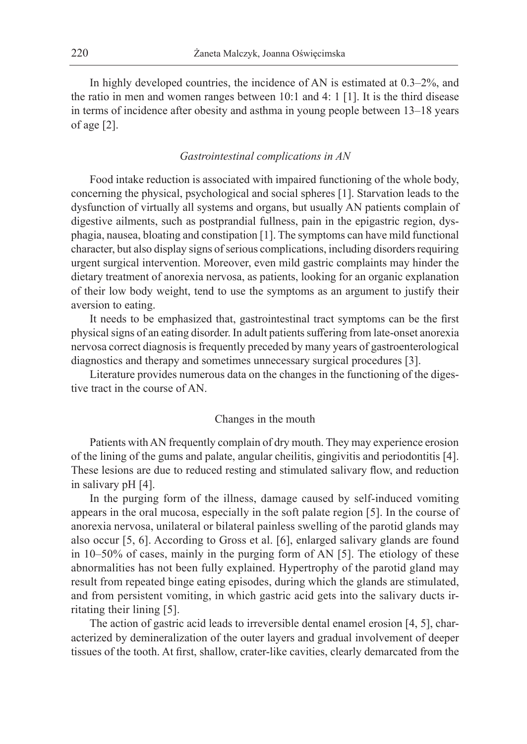In highly developed countries, the incidence of AN is estimated at 0.3–2%, and the ratio in men and women ranges between 10:1 and 4: 1 [1]. It is the third disease in terms of incidence after obesity and asthma in young people between 13–18 years of age [2].

#### *Gastrointestinal complications in AN*

Food intake reduction is associated with impaired functioning of the whole body, concerning the physical, psychological and social spheres [1]. Starvation leads to the dysfunction of virtually all systems and organs, but usually AN patients complain of digestive ailments, such as postprandial fullness, pain in the epigastric region, dysphagia, nausea, bloating and constipation [1]. The symptoms can have mild functional character, but also display signs of serious complications, including disorders requiring urgent surgical intervention. Moreover, even mild gastric complaints may hinder the dietary treatment of anorexia nervosa, as patients, looking for an organic explanation of their low body weight, tend to use the symptoms as an argument to justify their aversion to eating.

It needs to be emphasized that, gastrointestinal tract symptoms can be the first physical signs of an eating disorder. In adult patients suffering from late-onset anorexia nervosa correct diagnosis is frequently preceded by many years of gastroenterological diagnostics and therapy and sometimes unnecessary surgical procedures [3].

Literature provides numerous data on the changes in the functioning of the digestive tract in the course of AN.

## Changes in the mouth

Patients with AN frequently complain of dry mouth. They may experience erosion of the lining of the gums and palate, angular cheilitis, gingivitis and periodontitis [4]. These lesions are due to reduced resting and stimulated salivary flow, and reduction in salivary pH [4].

In the purging form of the illness, damage caused by self-induced vomiting appears in the oral mucosa, especially in the soft palate region [5]. In the course of anorexia nervosa, unilateral or bilateral painless swelling of the parotid glands may also occur [5, 6]. According to Gross et al. [6], enlarged salivary glands are found in 10–50% of cases, mainly in the purging form of AN [5]. The etiology of these abnormalities has not been fully explained. Hypertrophy of the parotid gland may result from repeated binge eating episodes, during which the glands are stimulated, and from persistent vomiting, in which gastric acid gets into the salivary ducts irritating their lining [5].

The action of gastric acid leads to irreversible dental enamel erosion [4, 5], characterized by demineralization of the outer layers and gradual involvement of deeper tissues of the tooth. At first, shallow, crater-like cavities, clearly demarcated from the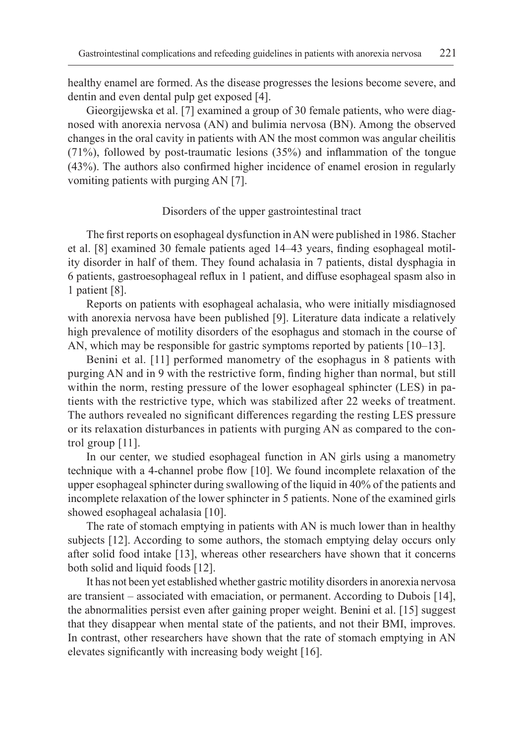healthy enamel are formed. As the disease progresses the lesions become severe, and dentin and even dental pulp get exposed [4].

Gieorgijewska et al. [7] examined a group of 30 female patients, who were diagnosed with anorexia nervosa (AN) and bulimia nervosa (BN). Among the observed changes in the oral cavity in patients with AN the most common was angular cheilitis (71%), followed by post-traumatic lesions (35%) and inflammation of the tongue (43%). The authors also confirmed higher incidence of enamel erosion in regularly vomiting patients with purging AN [7].

## Disorders of the upper gastrointestinal tract

The first reports on esophageal dysfunction in AN were published in 1986. Stacher et al. [8] examined 30 female patients aged 14–43 years, finding esophageal motility disorder in half of them. They found achalasia in 7 patients, distal dysphagia in 6 patients, gastroesophageal reflux in 1 patient, and diffuse esophageal spasm also in 1 patient [8].

Reports on patients with esophageal achalasia, who were initially misdiagnosed with anorexia nervosa have been published [9]. Literature data indicate a relatively high prevalence of motility disorders of the esophagus and stomach in the course of AN, which may be responsible for gastric symptoms reported by patients [10–13].

Benini et al. [11] performed manometry of the esophagus in 8 patients with purging AN and in 9 with the restrictive form, finding higher than normal, but still within the norm, resting pressure of the lower esophageal sphincter (LES) in patients with the restrictive type, which was stabilized after 22 weeks of treatment. The authors revealed no significant differences regarding the resting LES pressure or its relaxation disturbances in patients with purging AN as compared to the control group [11].

In our center, we studied esophageal function in AN girls using a manometry technique with a 4-channel probe flow [10]. We found incomplete relaxation of the upper esophageal sphincter during swallowing of the liquid in 40% of the patients and incomplete relaxation of the lower sphincter in 5 patients. None of the examined girls showed esophageal achalasia [10].

The rate of stomach emptying in patients with AN is much lower than in healthy subjects [12]. According to some authors, the stomach emptying delay occurs only after solid food intake [13], whereas other researchers have shown that it concerns both solid and liquid foods [12].

It has not been yet established whether gastric motility disorders in anorexia nervosa are transient – associated with emaciation, or permanent. According to Dubois [14], the abnormalities persist even after gaining proper weight. Benini et al. [15] suggest that they disappear when mental state of the patients, and not their BMI, improves. In contrast, other researchers have shown that the rate of stomach emptying in AN elevates significantly with increasing body weight [16].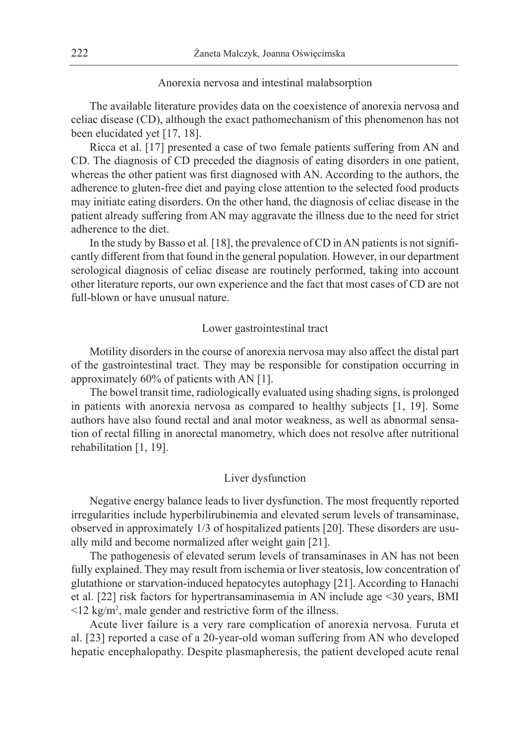## Anorexia nervosa and intestinal malabsorption

The available literature provides data on the coexistence of anorexia nervosa and celiac disease (CD), although the exact pathomechanism of this phenomenon has not been elucidated yet [17, 18].

Ricca et al. [17] presented a case of two female patients suffering from AN and CD. The diagnosis of CD preceded the diagnosis of eating disorders in one patient, whereas the other patient was first diagnosed with AN. According to the authors, the adherence to gluten-free diet and paying close attention to the selected food products may initiate eating disorders. On the other hand, the diagnosis of celiac disease in the patient already suffering from AN may aggravate the illness due to the need for strict adherence to the diet.

In the study by Basso et al. [18], the prevalence of CD in AN patients is not significantly different from that found in the general population. However, in our department serological diagnosis of celiac disease are routinely performed, taking into account other literature reports, our own experience and the fact that most cases of CD are not full-blown or have unusual nature.

## Lower gastrointestinal tract

Motility disorders in the course of anorexia nervosa may also affect the distal part of the gastrointestinal tract. They may be responsible for constipation occurring in approximately 60% of patients with AN [1].

The bowel transit time, radiologically evaluated using shading signs, is prolonged in patients with anorexia nervosa as compared to healthy subjects [1, 19]. Some authors have also found rectal and anal motor weakness, as well as abnormal sensation of rectal filling in anorectal manometry, which does not resolve after nutritional rehabilitation [1, 19].

#### Liver dysfunction

Negative energy balance leads to liver dysfunction. The most frequently reported irregularities include hyperbilirubinemia and elevated serum levels of transaminase, observed in approximately 1/3 of hospitalized patients [20]. These disorders are usually mild and become normalized after weight gain [21].

The pathogenesis of elevated serum levels of transaminases in AN has not been fully explained. They may result from ischemia or liver steatosis, low concentration of glutathione or starvation-induced hepatocytes autophagy [21]. According to Hanachi et al. [22] risk factors for hypertransaminasemia in AN include age <30 years, BMI  $\leq$ 12 kg/m<sup>2</sup>, male gender and restrictive form of the illness.

Acute liver failure is a very rare complication of anorexia nervosa. Furuta et al. [23] reported a case of a 20-year-old woman suffering from AN who developed hepatic encephalopathy. Despite plasmapheresis, the patient developed acute renal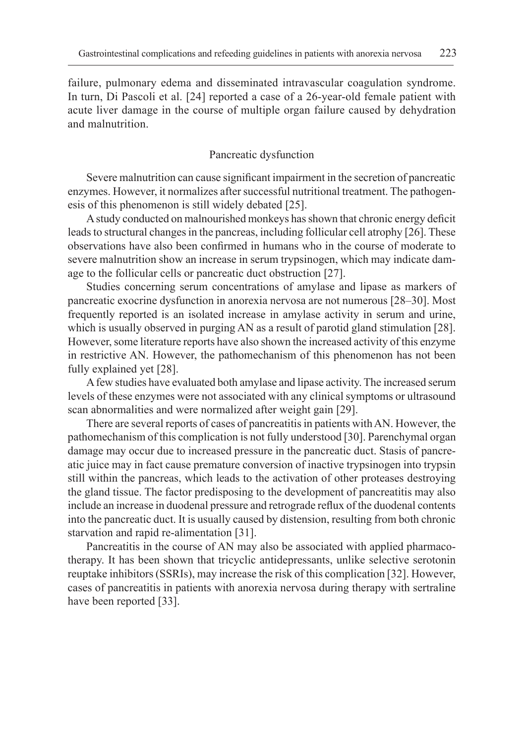failure, pulmonary edema and disseminated intravascular coagulation syndrome. In turn, Di Pascoli et al. [24] reported a case of a 26-year-old female patient with acute liver damage in the course of multiple organ failure caused by dehydration and malnutrition.

## Pancreatic dysfunction

Severe malnutrition can cause significant impairment in the secretion of pancreatic enzymes. However, it normalizes after successful nutritional treatment. The pathogenesis of this phenomenon is still widely debated [25].

A study conducted on malnourished monkeys has shown that chronic energy deficit leads to structural changes in the pancreas, including follicular cell atrophy [26]. These observations have also been confirmed in humans who in the course of moderate to severe malnutrition show an increase in serum trypsinogen, which may indicate damage to the follicular cells or pancreatic duct obstruction [27].

Studies concerning serum concentrations of amylase and lipase as markers of pancreatic exocrine dysfunction in anorexia nervosa are not numerous [28–30]. Most frequently reported is an isolated increase in amylase activity in serum and urine, which is usually observed in purging AN as a result of parotid gland stimulation [28]. However, some literature reports have also shown the increased activity of this enzyme in restrictive AN. However, the pathomechanism of this phenomenon has not been fully explained yet [28].

A few studies have evaluated both amylase and lipase activity. The increased serum levels of these enzymes were not associated with any clinical symptoms or ultrasound scan abnormalities and were normalized after weight gain [29].

There are several reports of cases of pancreatitis in patients with AN. However, the pathomechanism of this complication is not fully understood [30]. Parenchymal organ damage may occur due to increased pressure in the pancreatic duct. Stasis of pancreatic juice may in fact cause premature conversion of inactive trypsinogen into trypsin still within the pancreas, which leads to the activation of other proteases destroying the gland tissue. The factor predisposing to the development of pancreatitis may also include an increase in duodenal pressure and retrograde reflux of the duodenal contents into the pancreatic duct. It is usually caused by distension, resulting from both chronic starvation and rapid re-alimentation [31].

Pancreatitis in the course of AN may also be associated with applied pharmacotherapy. It has been shown that tricyclic antidepressants, unlike selective serotonin reuptake inhibitors (SSRIs), may increase the risk of this complication [32]. However, cases of pancreatitis in patients with anorexia nervosa during therapy with sertraline have been reported [33].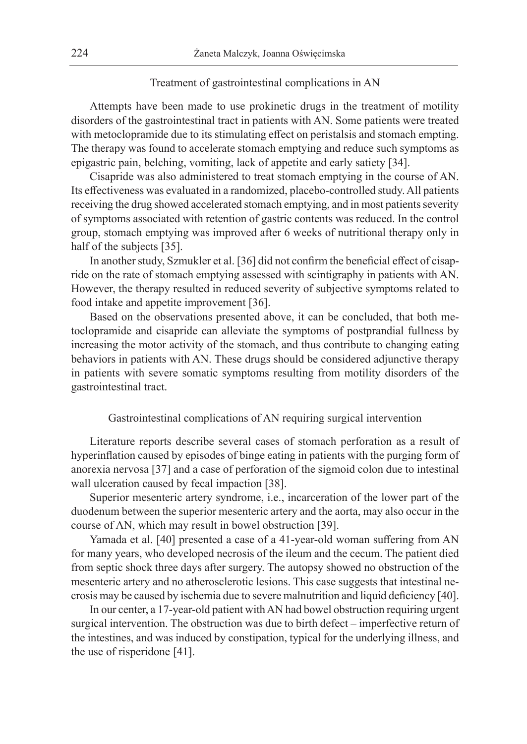## Treatment of gastrointestinal complications in AN

Attempts have been made to use prokinetic drugs in the treatment of motility disorders of the gastrointestinal tract in patients with AN. Some patients were treated with metoclopramide due to its stimulating effect on peristalsis and stomach empting. The therapy was found to accelerate stomach emptying and reduce such symptoms as epigastric pain, belching, vomiting, lack of appetite and early satiety [34].

Cisapride was also administered to treat stomach emptying in the course of AN. Its effectiveness was evaluated in a randomized, placebo-controlled study. All patients receiving the drug showed accelerated stomach emptying, and in most patients severity of symptoms associated with retention of gastric contents was reduced. In the control group, stomach emptying was improved after 6 weeks of nutritional therapy only in half of the subjects [35].

In another study, Szmukler et al. [36] did not confirm the beneficial effect of cisapride on the rate of stomach emptying assessed with scintigraphy in patients with AN. However, the therapy resulted in reduced severity of subjective symptoms related to food intake and appetite improvement [36].

Based on the observations presented above, it can be concluded, that both metoclopramide and cisapride can alleviate the symptoms of postprandial fullness by increasing the motor activity of the stomach, and thus contribute to changing eating behaviors in patients with AN. These drugs should be considered adjunctive therapy in patients with severe somatic symptoms resulting from motility disorders of the gastrointestinal tract.

## Gastrointestinal complications of AN requiring surgical intervention

Literature reports describe several cases of stomach perforation as a result of hyperinflation caused by episodes of binge eating in patients with the purging form of anorexia nervosa [37] and a case of perforation of the sigmoid colon due to intestinal wall ulceration caused by fecal impaction [38].

Superior mesenteric artery syndrome, i.e., incarceration of the lower part of the duodenum between the superior mesenteric artery and the aorta, may also occur in the course of AN, which may result in bowel obstruction [39].

Yamada et al. [40] presented a case of a 41-year-old woman suffering from AN for many years, who developed necrosis of the ileum and the cecum. The patient died from septic shock three days after surgery. The autopsy showed no obstruction of the mesenteric artery and no atherosclerotic lesions. This case suggests that intestinal necrosis may be caused by ischemia due to severe malnutrition and liquid deficiency [40].

In our center, a 17-year-old patient with AN had bowel obstruction requiring urgent surgical intervention. The obstruction was due to birth defect – imperfective return of the intestines, and was induced by constipation, typical for the underlying illness, and the use of risperidone [41].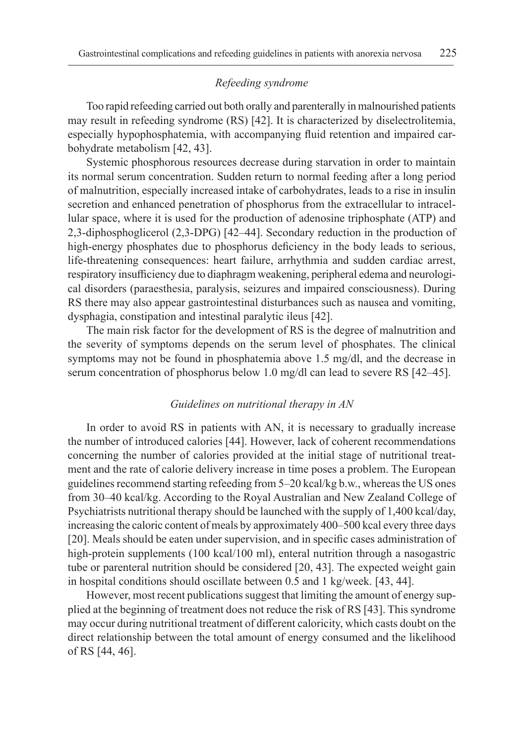## *Refeeding syndrome*

Too rapid refeeding carried out both orally and parenterally in malnourished patients may result in refeeding syndrome (RS) [42]. It is characterized by diselectrolitemia, especially hypophosphatemia, with accompanying fluid retention and impaired carbohydrate metabolism [42, 43].

Systemic phosphorous resources decrease during starvation in order to maintain its normal serum concentration. Sudden return to normal feeding after a long period of malnutrition, especially increased intake of carbohydrates, leads to a rise in insulin secretion and enhanced penetration of phosphorus from the extracellular to intracellular space, where it is used for the production of adenosine triphosphate (ATP) and 2,3-diphosphoglicerol (2,3-DPG) [42–44]. Secondary reduction in the production of high-energy phosphates due to phosphorus deficiency in the body leads to serious, life-threatening consequences: heart failure, arrhythmia and sudden cardiac arrest, respiratory insufficiency due to diaphragm weakening, peripheral edema and neurological disorders (paraesthesia, paralysis, seizures and impaired consciousness). During RS there may also appear gastrointestinal disturbances such as nausea and vomiting, dysphagia, constipation and intestinal paralytic ileus [42].

The main risk factor for the development of RS is the degree of malnutrition and the severity of symptoms depends on the serum level of phosphates. The clinical symptoms may not be found in phosphatemia above 1.5 mg/dl, and the decrease in serum concentration of phosphorus below 1.0 mg/dl can lead to severe RS [42–45].

## *Guidelines on nutritional therapy in AN*

In order to avoid RS in patients with AN, it is necessary to gradually increase the number of introduced calories [44]. However, lack of coherent recommendations concerning the number of calories provided at the initial stage of nutritional treatment and the rate of calorie delivery increase in time poses a problem. The European guidelines recommend starting refeeding from 5–20 kcal/kg b.w., whereas the US ones from 30–40 kcal/kg. According to the Royal Australian and New Zealand College of Psychiatrists nutritional therapy should be launched with the supply of 1,400 kcal/day, increasing the caloric content of meals by approximately 400–500 kcal every three days [20]. Meals should be eaten under supervision, and in specific cases administration of high-protein supplements (100 kcal/100 ml), enteral nutrition through a nasogastric tube or parenteral nutrition should be considered [20, 43]. The expected weight gain in hospital conditions should oscillate between 0.5 and 1 kg/week. [43, 44].

However, most recent publications suggest that limiting the amount of energy supplied at the beginning of treatment does not reduce the risk of RS [43]. This syndrome may occur during nutritional treatment of different caloricity, which casts doubt on the direct relationship between the total amount of energy consumed and the likelihood of RS [44, 46].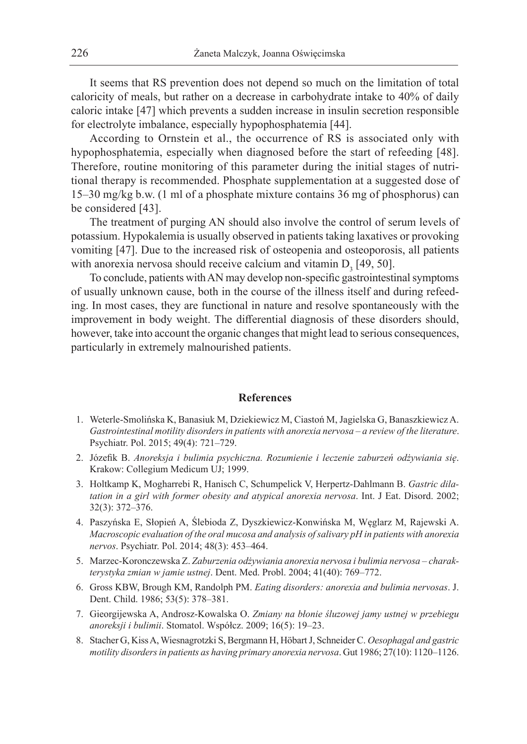It seems that RS prevention does not depend so much on the limitation of total caloricity of meals, but rather on a decrease in carbohydrate intake to 40% of daily caloric intake [47] which prevents a sudden increase in insulin secretion responsible for electrolyte imbalance, especially hypophosphatemia [44].

According to Ornstein et al., the occurrence of RS is associated only with hypophosphatemia, especially when diagnosed before the start of refeeding [48]. Therefore, routine monitoring of this parameter during the initial stages of nutritional therapy is recommended. Phosphate supplementation at a suggested dose of 15–30 mg/kg b.w. (1 ml of a phosphate mixture contains 36 mg of phosphorus) can be considered [43].

The treatment of purging AN should also involve the control of serum levels of potassium. Hypokalemia is usually observed in patients taking laxatives or provoking vomiting [47]. Due to the increased risk of osteopenia and osteoporosis, all patients with anorexia nervosa should receive calcium and vitamin  $D_3$  [49, 50].

To conclude, patients with AN may develop non-specific gastrointestinal symptoms of usually unknown cause, both in the course of the illness itself and during refeeding. In most cases, they are functional in nature and resolve spontaneously with the improvement in body weight. The differential diagnosis of these disorders should, however, take into account the organic changes that might lead to serious consequences, particularly in extremely malnourished patients.

#### **References**

- 1. Weterle-Smolińska K, Banasiuk M, Dziekiewicz M, Ciastoń M, Jagielska G, Banaszkiewicz A. *Gastrointestinal motility disorders in patients with anorexia nervosa – a review of the literature*. Psychiatr. Pol. 2015; 49(4): 721–729.
- 2. Józefik B. *Anoreksja i bulimia psychiczna. Rozumienie i leczenie zaburzeń odżywiania się*. Krakow: Collegium Medicum UJ; 1999.
- 3. Holtkamp K, Mogharrebi R, Hanisch C, Schumpelick V, Herpertz-Dahlmann B. *Gastric dilatation in a girl with former obesity and atypical anorexia nervosa*. Int. J Eat. Disord. 2002; 32(3): 372–376.
- 4. Paszyńska E, Słopień A, Ślebioda Z, Dyszkiewicz-Konwińska M, Węglarz M, Rajewski A. *Macroscopic evaluation of the oral mucosa and analysis of salivary pH in patients with anorexia nervos*. Psychiatr. Pol. 2014; 48(3): 453–464.
- 5. Marzec-Koronczewska Z. *Zaburzenia odżywiania anorexia nervosa i bulimia nervosa charakterystyka zmian w jamie ustnej*. Dent. Med. Probl. 2004; 41(40): 769–772.
- 6. Gross KBW, Brough KM, Randolph PM. *Eating disorders: anorexia and bulimia nervosas*. J. Dent. Child. 1986; 53(5): 378–381.
- 7. Gieorgijewska A, Androsz-Kowalska O. *Zmiany na błonie śluzowej jamy ustnej w przebiegu anoreksji i bulimii*. Stomatol. Współcz. 2009; 16(5): 19–23.
- 8. Stacher G, Kiss A, Wiesnagrotzki S, Bergmann H, Höbart J, Schneider C. *Oesophagal and gastric motility disorders in patients as having primary anorexia nervosa*. Gut 1986; 27(10): 1120–1126.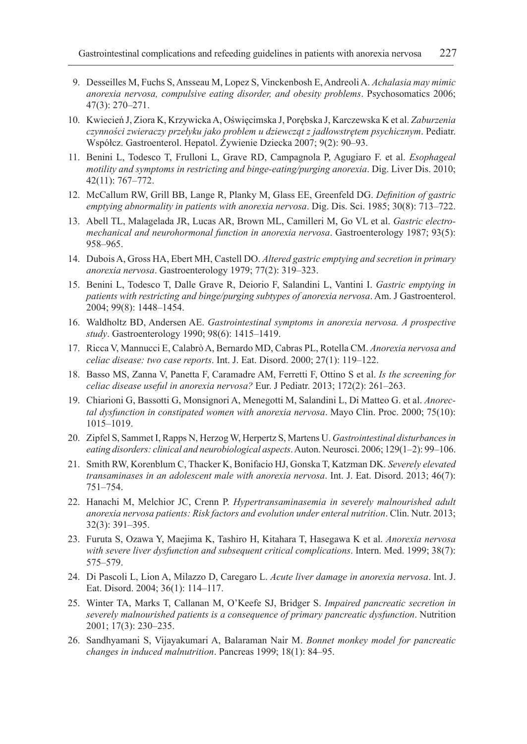- 9. Desseilles M, Fuchs S, Ansseau M, Lopez S, Vinckenbosh E, Andreoli A. *Achalasia may mimic anorexia nervosa, compulsive eating disorder, and obesity problems*. Psychosomatics 2006; 47(3): 270–271.
- 10. Kwiecień J, Ziora K, Krzywicka A, Oświęcimska J, Porębska J, Karczewska K et al. *Zaburzenia czynności zwieraczy przełyku jako problem u dziewcząt z jadłowstrętem psychicznym*. Pediatr. Współcz. Gastroenterol. Hepatol. Żywienie Dziecka 2007; 9(2): 90–93.
- 11. Benini L, Todesco T, Frulloni L, Grave RD, Campagnola P, Agugiaro F. et al. *Esophageal motility and symptoms in restricting and binge-eating/purging anorexia*. Dig. Liver Dis. 2010; 42(11): 767–772.
- 12. McCallum RW, Grill BB, Lange R, Planky M, Glass EE, Greenfeld DG. *Definition of gastric emptying abnormality in patients with anorexia nervosa*. Dig. Dis. Sci. 1985; 30(8): 713–722.
- 13. Abell TL, Malagelada JR, Lucas AR, Brown ML, Camilleri M, Go VL et al. *Gastric electromechanical and neurohormonal function in anorexia nervosa*. Gastroenterology 1987; 93(5): 958–965.
- 14. Dubois A, Gross HA, Ebert MH, Castell DO. *Altered gastric emptying and secretion in primary anorexia nervosa*. Gastroenterology 1979; 77(2): 319–323.
- 15. Benini L, Todesco T, Dalle Grave R, Deiorio F, Salandini L, Vantini I. *Gastric emptying in patients with restricting and binge/purging subtypes of anorexia nervosa*. Am. J Gastroenterol. 2004; 99(8): 1448–1454.
- 16. Waldholtz BD, Andersen AE. *Gastrointestinal symptoms in anorexia nervosa. A prospective study*. Gastroenterology 1990; 98(6): 1415–1419.
- 17. Ricca V, Mannucci E, Calabrò A, Bernardo MD, Cabras PL, Rotella CM. *Anorexia nervosa and celiac disease: two case reports*. Int. J. Eat. Disord. 2000; 27(1): 119–122.
- 18. Basso MS, Zanna V, Panetta F, Caramadre AM, Ferretti F, Ottino S et al. *Is the screening for celiac disease useful in anorexia nervosa?* Eur. J Pediatr. 2013; 172(2): 261–263.
- 19. Chiarioni G, Bassotti G, Monsignori A, Menegotti M, Salandini L, Di Matteo G. et al. *Anorectal dysfunction in constipated women with anorexia nervosa*. Mayo Clin. Proc. 2000; 75(10): 1015–1019.
- 20. Zipfel S, Sammet I, Rapps N, Herzog W, Herpertz S, Martens U. *Gastrointestinal disturbances in eating disorders: clinical and neurobiological aspects*. Auton. Neurosci. 2006; 129(1–2): 99–106.
- 21. Smith RW, Korenblum C, Thacker K, Bonifacio HJ, Gonska T, Katzman DK. *Severely elevated transaminases in an adolescent male with anorexia nervosa*. Int. J. Eat. Disord. 2013; 46(7): 751–754.
- 22. Hanachi M, Melchior JC, Crenn P. *Hypertransaminasemia in severely malnourished adult anorexia nervosa patients: Risk factors and evolution under enteral nutrition*. Clin. Nutr. 2013; 32(3): 391–395.
- 23. Furuta S, Ozawa Y, Maejima K, Tashiro H, Kitahara T, Hasegawa K et al. *Anorexia nervosa with severe liver dysfunction and subsequent critical complications*. Intern. Med. 1999; 38(7): 575–579.
- 24. Di Pascoli L, Lion A, Milazzo D, Caregaro L. *Acute liver damage in anorexia nervosa*. Int. J. Eat. Disord. 2004; 36(1): 114–117.
- 25. Winter TA, Marks T, Callanan M, O'Keefe SJ, Bridger S. *Impaired pancreatic secretion in severely malnourished patients is a consequence of primary pancreatic dysfunction*. Nutrition 2001; 17(3): 230–235.
- 26. Sandhyamani S, Vijayakumari A, Balaraman Nair M. *Bonnet monkey model for pancreatic changes in induced malnutrition*. Pancreas 1999; 18(1): 84–95.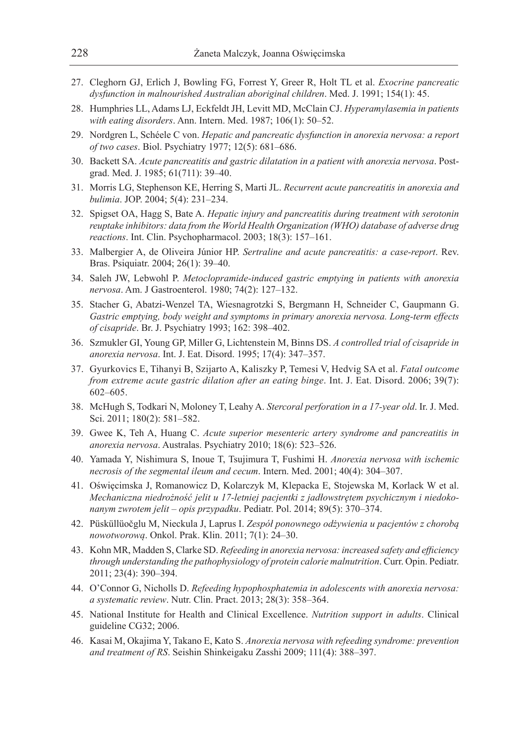- 27. Cleghorn GJ, Erlich J, Bowling FG, Forrest Y, Greer R, Holt TL et al. *Exocrine pancreatic dysfunction in malnourished Australian aboriginal children*. Med. J. 1991; 154(1): 45.
- 28. Humphries LL, Adams LJ, Eckfeldt JH, Levitt MD, McClain CJ. *Hyperamylasemia in patients with eating disorders*. Ann. Intern. Med. 1987; 106(1): 50–52.
- 29. Nordgren L, Schéele C von. *Hepatic and pancreatic dysfunction in anorexia nervosa: a report of two cases*. Biol. Psychiatry 1977; 12(5): 681–686.
- 30. Backett SA. *Acute pancreatitis and gastric dilatation in a patient with anorexia nervosa*. Postgrad. Med. J. 1985; 61(711): 39–40.
- 31. Morris LG, Stephenson KE, Herring S, Marti JL. *Recurrent acute pancreatitis in anorexia and bulimia*. JOP. 2004; 5(4): 231–234.
- 32. Spigset OA, Hagg S, Bate A. *Hepatic injury and pancreatitis during treatment with serotonin reuptake inhibitors: data from the World Health Organization (WHO) database of adverse drug reactions*. Int. Clin. Psychopharmacol. 2003; 18(3): 157–161.
- 33. Malbergier A, de Oliveira Júnior HP. *Sertraline and acute pancreatitis: a case-report*. Rev. Bras. Psiquiatr. 2004; 26(1): 39–40.
- 34. Saleh JW, Lebwohl P. *Metoclopramide-induced gastric emptying in patients with anorexia nervosa*. Am. J Gastroenterol. 1980; 74(2): 127–132.
- 35. Stacher G, Abatzi-Wenzel TA, Wiesnagrotzki S, Bergmann H, Schneider C, Gaupmann G. *Gastric emptying, body weight and symptoms in primary anorexia nervosa. Long-term effects of cisapride*. Br. J. Psychiatry 1993; 162: 398–402.
- 36. Szmukler GI, Young GP, Miller G, Lichtenstein M, Binns DS. *A controlled trial of cisapride in anorexia nervosa*. Int. J. Eat. Disord. 1995; 17(4): 347–357.
- 37. Gyurkovics E, Tihanyi B, Szijarto A, Kaliszky P, Temesi V, Hedvig SA et al. *Fatal outcome from extreme acute gastric dilation after an eating binge*. Int. J. Eat. Disord. 2006; 39(7): 602–605.
- 38. McHugh S, Todkari N, Moloney T, Leahy A. *Stercoral perforation in a 17-year old*. Ir. J. Med. Sci. 2011; 180(2): 581–582.
- 39. Gwee K, Teh A, Huang C. *Acute superior mesenteric artery syndrome and pancreatitis in anorexia nervosa*. Australas. Psychiatry 2010; 18(6): 523–526.
- 40. Yamada Y, Nishimura S, Inoue T, Tsujimura T, Fushimi H. *Anorexia nervosa with ischemic necrosis of the segmental ileum and cecum*. Intern. Med. 2001; 40(4): 304–307.
- 41. Oświęcimska J, Romanowicz D, Kolarczyk M, Klepacka E, Stojewska M, Korlack W et al. *Mechaniczna niedrożność jelit u 17-letniej pacjentki z jadłowstrętem psychicznym i niedokonanym zwrotem jelit – opis przypadku*. Pediatr. Pol. 2014; 89(5): 370–374.
- 42. Püsküllüočglu M, Nieckula J, Laprus I. *Zespół ponownego odżywienia u pacjentów z chorobą nowotworową*. Onkol. Prak. Klin. 2011; 7(1): 24–30.
- 43. Kohn MR, Madden S, Clarke SD. *Refeeding in anorexia nervosa: increased safety and efficiency through understanding the pathophysiology of protein calorie malnutrition*. Curr. Opin. Pediatr. 2011; 23(4): 390–394.
- 44. O'Connor G, Nicholls D. *Refeeding hypophosphatemia in adolescents with anorexia nervosa: a systematic review*. Nutr. Clin. Pract. 2013; 28(3): 358–364.
- 45. National Institute for Health and Clinical Excellence. *Nutrition support in adults*. Clinical guideline CG32; 2006.
- 46. Kasai M, Okajima Y, Takano E, Kato S. *Anorexia nervosa with refeeding syndrome: prevention and treatment of RS*. Seishin Shinkeigaku Zasshi 2009; 111(4): 388–397.